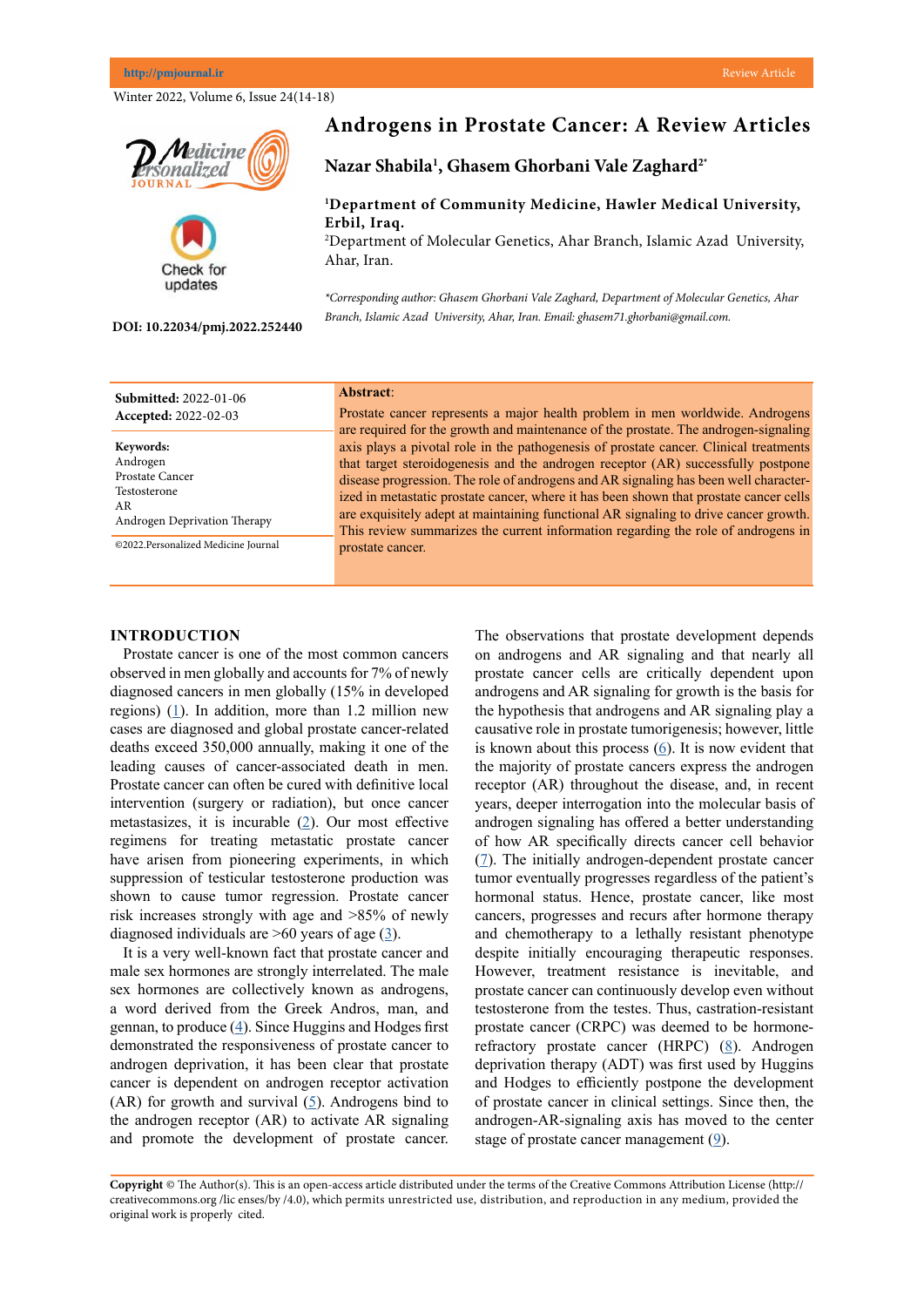Winter 2022, Volume 6, Issue 24(14-18)





#### **DOI: 10.22034/pmj.2022.252440**

# **Androgens in Prostate Cancer: A Review Articles**

**Nazar Shabila1 , Ghasem Ghorbani Vale Zaghard2\***

## **1 Department of Community Medicine, Hawler Medical University, Erbil, Iraq.**

2 Department of Molecular Genetics, Ahar Branch, Islamic Azad University, Ahar, Iran.

*\*Corresponding author: Ghasem Ghorbani Vale Zaghard, Department of Molecular Genetics, Ahar Branch, Islamic Azad University, Ahar, Iran. Email: ghasem71.ghorbani@gmail.com.*

| <b>Submitted: 2022-01-06</b><br>Accepted: 2022-02-03 | Abstract:<br>Prostate cancer represents a major health problem in men worldwide. Androgens<br>are required for the growth and maintenance of the prostate. The androgen-signaling |
|------------------------------------------------------|-----------------------------------------------------------------------------------------------------------------------------------------------------------------------------------|
| Keywords:                                            | axis plays a pivotal role in the pathogenesis of prostate cancer. Clinical treatments                                                                                             |
| Androgen                                             | that target steroidogenesis and the androgen receptor (AR) successfully postpone                                                                                                  |
| Prostate Cancer                                      | disease progression. The role of androgens and AR signaling has been well character-                                                                                              |
| Testosterone                                         | ized in metastatic prostate cancer, where it has been shown that prostate cancer cells                                                                                            |
| AR.                                                  | are exquisitely adept at maintaining functional AR signaling to drive cancer growth.                                                                                              |
| Androgen Deprivation Therapy                         | This review summarizes the current information regarding the role of androgens in                                                                                                 |
| @2022.Personalized Medicine Journal                  | prostate cancer.                                                                                                                                                                  |

## **INTRODUCTION**

Prostate cancer is one of the most common cancers observed in men globally and accounts for 7% of newly diagnosed cancers in men globally (15% in developed regions)  $(1)$  $(1)$ . In addition, more than 1.2 million new cases are diagnosed and global prostate cancer-related deaths exceed 350,000 annually, making it one of the leading causes of cancer-associated death in men. Prostate cancer can often be cured with definitive local intervention (surgery or radiation), but once cancer metastasizes, it is incurable  $(2)$  $(2)$  $(2)$ . Our most effective regimens for treating metastatic prostate cancer have arisen from pioneering experiments, in which suppression of testicular testosterone production was shown to cause tumor regression. Prostate cancer risk increases strongly with age and >85% of newly diagnosed individuals are  $>60$  years of age  $(3)$  $(3)$ .

It is a very well-known fact that prostate cancer and male sex hormones are strongly interrelated. The male sex hormones are collectively known as androgens, a word derived from the Greek Andros, man, and gennan, to produce  $(4)$  $(4)$  $(4)$ . Since Huggins and Hodges first demonstrated the responsiveness of prostate cancer to androgen deprivation, it has been clear that prostate cancer is dependent on androgen receptor activation (AR) for growth and survival  $(5)$  $(5)$ . Androgens bind to the androgen receptor (AR) to activate AR signaling and promote the development of prostate cancer.

The observations that prostate development depends on androgens and AR signaling and that nearly all prostate cancer cells are critically dependent upon androgens and AR signaling for growth is the basis for the hypothesis that androgens and AR signaling play a causative role in prostate tumorigenesis; however, little is known about this process  $(6)$  $(6)$ . It is now evident that the majority of prostate cancers express the androgen receptor (AR) throughout the disease, and, in recent years, deeper interrogation into the molecular basis of androgen signaling has offered a better understanding of how AR specifically directs cancer cell behavior [\(7](Ghashghaei M, Paliouras M, Heravi M, Bekerat H, Trifiro M, Niazi TM, Muanza T. Enhanced radiosensitization of enzalutamide via schedule dependent administration to androgen‐sensitive prostate cancer cells. The Prostate. 2018 Jan;78(1):64-75.
)). The initially androgen-dependent prostate cancer tumor eventually progresses regardless of the patient's hormonal status. Hence, prostate cancer, like most cancers, progresses and recurs after hormone therapy and chemotherapy to a lethally resistant phenotype despite initially encouraging therapeutic responses. However, treatment resistance is inevitable, and prostate cancer can continuously develop even without testosterone from the testes. Thus, castration-resistant prostate cancer (CRPC) was deemed to be hormone-refractory prostate cancer (HRPC) [\(8](Ghashghaei M, Paliouras M, Heravi M, Bekerat H, Trifiro M, Niazi TM, Muanza T. Enhanced radiosensitization of enzalutamide via schedule dependent administration to androgen‐sensitive prostate cancer cells. The Prostate. 2018 Jan;78(1):64-75.
)). Androgen deprivation therapy (ADT) was first used by Huggins and Hodges to efficiently postpone the development of prostate cancer in clinical settings. Since then, the androgen-AR-signaling axis has moved to the center stage of prostate cancer management  $(9)$  $(9)$ .

**Copyright** © The Author(s). This is an open-access article distributed under the terms of the Creative Commons Attribution License (http:// creativecommons.org /lic enses/by /4.0), which permits unrestricted use, distribution, and reproduction in any medium, provided the original work is properly cited.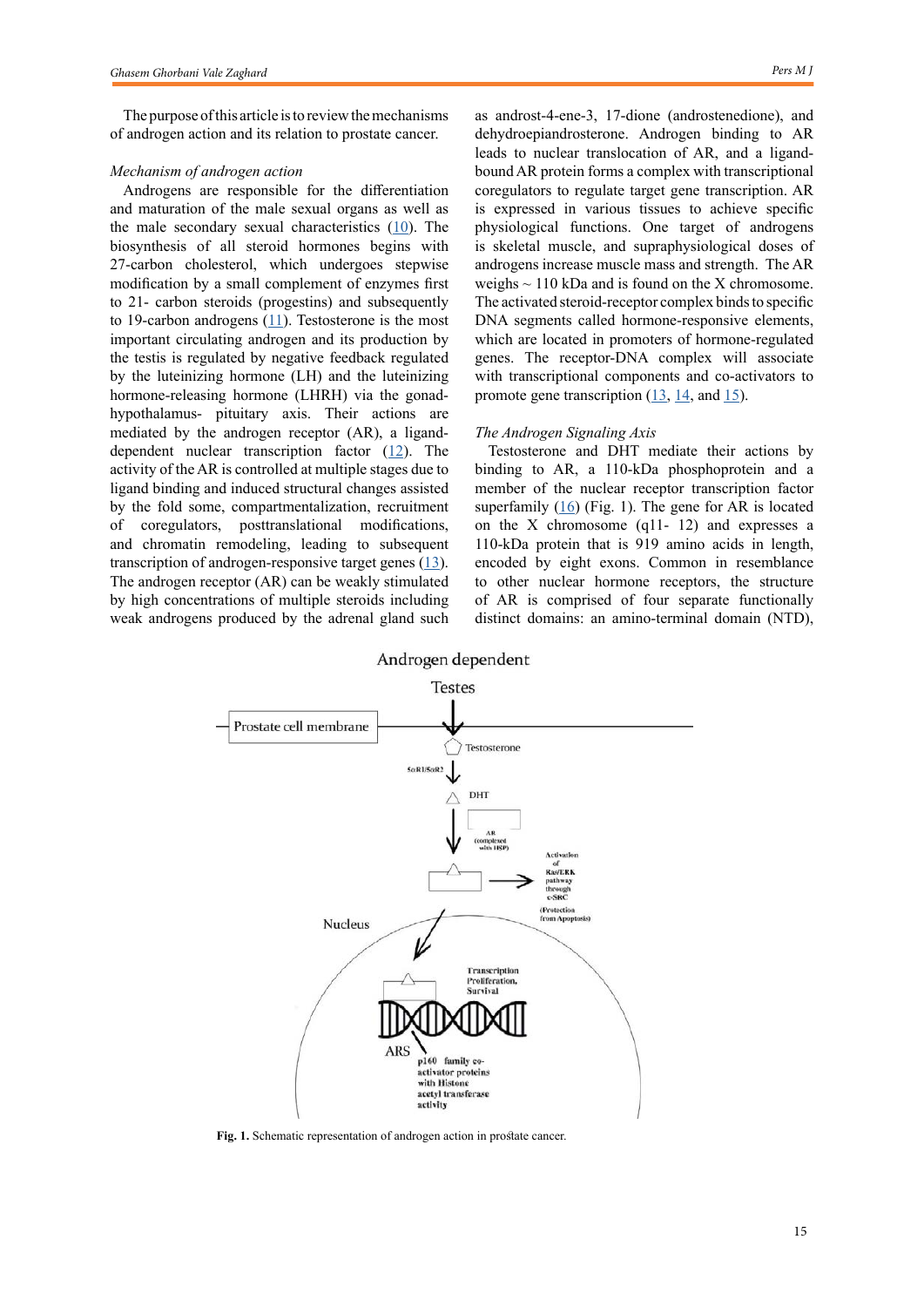The purpose of this article is to review the mechanisms of androgen action and its relation to prostate cancer.

#### *Mechanism of androgen action*

Androgens are responsible for the differentiation and maturation of the male sexual organs as well as the male secondary sexual characteristics  $(10)$  $(10)$ . The biosynthesis of all steroid hormones begins with 27-carbon cholesterol, which undergoes stepwise modification by a small complement of enzymes first to 21- carbon steroids (progestins) and subsequently to 19-carbon androgens  $(11)$  $(11)$  $(11)$ . Testosterone is the most important circulating androgen and its production by the testis is regulated by negative feedback regulated by the luteinizing hormone (LH) and the luteinizing hormone-releasing hormone (LHRH) via the gonadhypothalamus- pituitary axis. Their actions are mediated by the androgen receptor (AR), a liganddependent nuclear transcription factor  $(12)$  $(12)$ . The activity of the AR is controlled at multiple stages due to ligand binding and induced structural changes assisted by the fold some, compartmentalization, recruitment of coregulators, posttranslational modifications, and chromatin remodeling, leading to subsequent transcription of androgen-responsive target genes  $(13)$  $(13)$ . The androgen receptor (AR) can be weakly stimulated by high concentrations of multiple steroids including weak androgens produced by the adrenal gland such as androst-4-ene-3, 17-dione (androstenedione), and dehydroepiandrosterone. Androgen binding to AR leads to nuclear translocation of AR, and a ligandbound AR protein forms a complex with transcriptional coregulators to regulate target gene transcription. AR is expressed in various tissues to achieve specific physiological functions. One target of androgens is skeletal muscle, and supraphysiological doses of androgens increase muscle mass and strength. The AR weighs  $\sim$  110 kDa and is found on the X chromosome. The activated steroid-receptor complex binds to specific DNA segments called hormone-responsive elements, which are located in promoters of hormone-regulated genes. The receptor-DNA complex will associate with transcriptional components and co-activators to promote gene transcription  $(13, 14, 11)$  $(13, 14, 11)$  $(13, 14, 11)$  $(13, 14, 11)$  $(13, 14, 11)$ .

#### *The Androgen Signaling Axis*

Testosterone and DHT mediate their actions by binding to AR, a 110-kDa phosphoprotein and a member of the nuclear receptor transcription factor superfamily  $(16)$  $(16)$  (Fig. 1). The gene for AR is located on the X chromosome (q11- 12) and expresses a 110-kDa protein that is 919 amino acids in length, encoded by eight exons. Common in resemblance to other nuclear hormone receptors, the structure of AR is comprised of four separate functionally distinct domains: an amino-terminal domain (NTD),



**Fig. 1.** Schematic representation of androgen action in prostate cancer.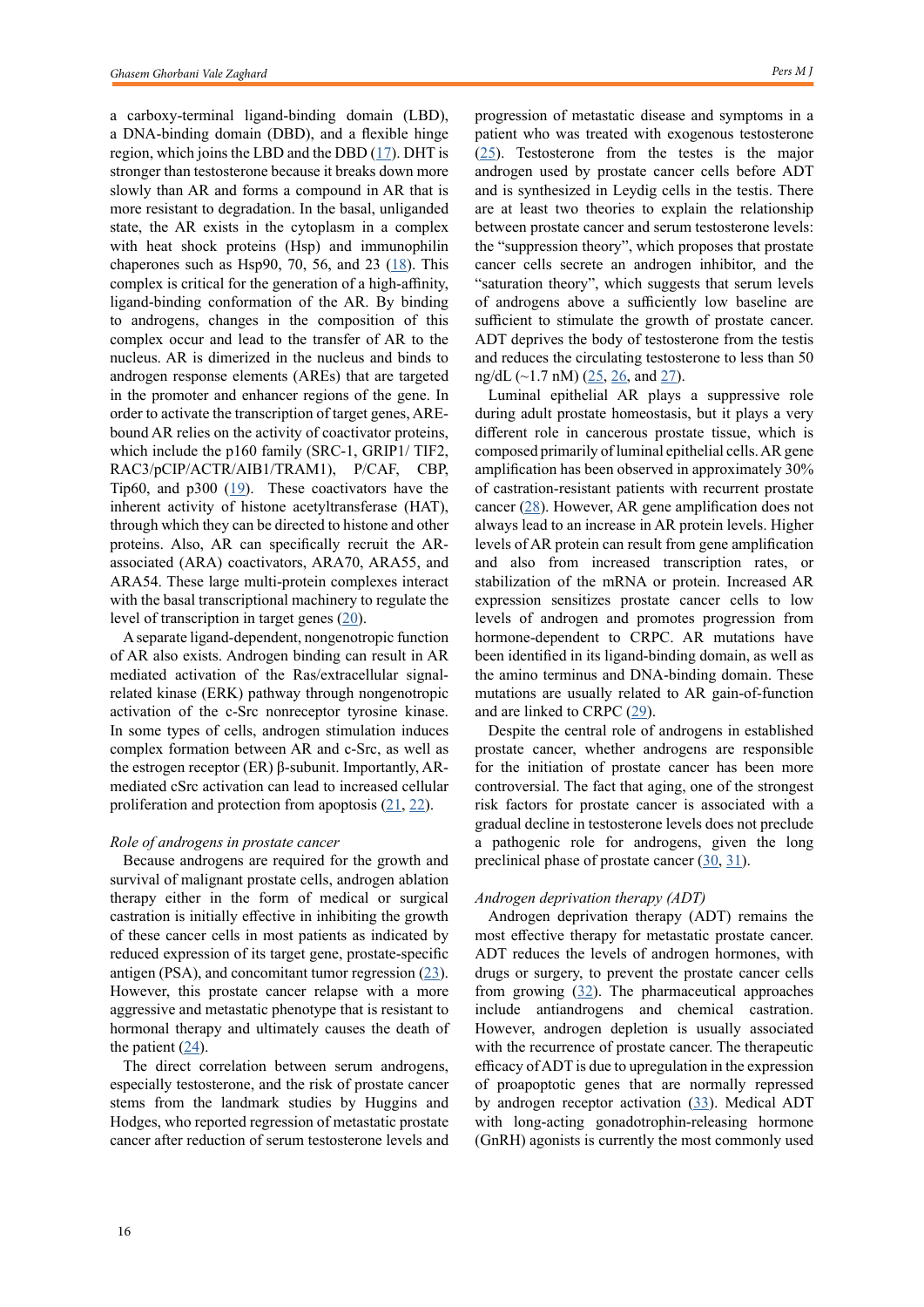a carboxy-terminal ligand-binding domain (LBD), a DNA-binding domain (DBD), and a flexible hinge region, which joins the LBD and the DBD  $(17)$  $(17)$ . DHT is stronger than testosterone because it breaks down more slowly than AR and forms a compound in AR that is more resistant to degradation. In the basal, unliganded state, the AR exists in the cytoplasm in a complex with heat shock proteins (Hsp) and immunophilin chaperones such as Hsp90, 70, 56, and 23 [\(18](Hao L, Dong Y, Zhang JJ, He HG, Chen JG, Zhang SQ, Zhang QJ, Wu W, Han CH, Shi ZD. Melatonin decreases androgen-sensitive prostate cancer growth by suppressing SENP1 expression. Translational Andrology and Urology. 2022 Jan;11(1):91.
)). This complex is critical for the generation of a high-affinity, ligand-binding conformation of the AR. By binding to androgens, changes in the composition of this complex occur and lead to the transfer of AR to the nucleus. AR is dimerized in the nucleus and binds to androgen response elements (AREs) that are targeted in the promoter and enhancer regions of the gene. In order to activate the transcription of target genes, AREbound AR relies on the activity of coactivator proteins, which include the p160 family (SRC-1, GRIP1/ TIF2, RAC3/pCIP/ACTR/AIB1/TRAM1), P/CAF, CBP, Tip60, and p300  $(19)$  $(19)$ . These coactivators have the inherent activity of histone acetyltransferase (HAT), through which they can be directed to histone and other proteins. Also, AR can specifically recruit the ARassociated (ARA) coactivators, ARA70, ARA55, and ARA54. These large multi-protein complexes interact with the basal transcriptional machinery to regulate the level of transcription in target genes ([20\)](http://Rao A, Moka N, Hamstra DA, Ryan CJ. Co-Inhibition of Androgen Receptor and PARP as a Novel Treatment Paradigm in Prostate Cancer—Where Are We Now?. Cancers. 2022 Feb 4;14(3):801.).

A separate ligand-dependent, nongenotropic function of AR also exists. Androgen binding can result in AR mediated activation of the Ras/extracellular signalrelated kinase (ERK) pathway through nongenotropic activation of the c-Src nonreceptor tyrosine kinase. In some types of cells, androgen stimulation induces complex formation between AR and c-Src, as well as the estrogen receptor (ER) β-subunit. Importantly, ARmediated cSrc activation can lead to increased cellular proliferation and protection from apoptosis ([21,](http://Anjaly K, Tiku AB. Caffeic acid phenethyl ester induces radiosensitization via inhibition of DNA damage repair in androgen‐independent prostate cancer cells. Environmental Toxicology. 2022 Jan 10.
) [22\)](Scher HI, Fizazi K, Saad F, Taplin ME, Sternberg CN, Miller K, De Wit R, Mulders P, Chi KN, Shore ND, Armstrong AJ. Increased survival with enzalutamide in prostate cancer after chemotherapy. New England Journal of Medicine. 2012 Sep 27;367(13):1187-97.
).

#### *Role of androgens in prostate cancer*

Because androgens are required for the growth and survival of malignant prostate cells, androgen ablation therapy either in the form of medical or surgical castration is initially effective in inhibiting the growth of these cancer cells in most patients as indicated by reduced expression of its target gene, prostate-specific antigen (PSA), and concomitant tumor regression  $(23)$  $(23)$ . However, this prostate cancer relapse with a more aggressive and metastatic phenotype that is resistant to hormonal therapy and ultimately causes the death of the patient  $(24)$  $(24)$ .

The direct correlation between serum androgens, especially testosterone, and the risk of prostate cancer stems from the landmark studies by Huggins and Hodges, who reported regression of metastatic prostate cancer after reduction of serum testosterone levels and progression of metastatic disease and symptoms in a patient who was treated with exogenous testosterone [\(25](Sharifi N, Auchus RJ. Steroid biosynthesis and prostate cancer. Steroids. 2012 Jun 1;77(7):719-26.)). Testosterone from the testes is the major androgen used by prostate cancer cells before ADT and is synthesized in Leydig cells in the testis. There are at least two theories to explain the relationship between prostate cancer and serum testosterone levels: the "suppression theory", which proposes that prostate cancer cells secrete an androgen inhibitor, and the "saturation theory", which suggests that serum levels of androgens above a sufficiently low baseline are sufficient to stimulate the growth of prostate cancer. ADT deprives the body of testosterone from the testis and reduces the circulating testosterone to less than 50 ng/dL  $(-1.7 \text{ nM})$   $(25, 26, \text{ and } 27)$  $(25, 26, \text{ and } 27)$  $(25, 26, \text{ and } 27)$  $(25, 26, \text{ and } 27)$  $(25, 26, \text{ and } 27)$  $(25, 26, \text{ and } 27)$ .

Luminal epithelial AR plays a suppressive role during adult prostate homeostasis, but it plays a very different role in cancerous prostate tissue, which is composed primarily of luminal epithelial cells. AR gene amplification has been observed in approximately 30% of castration-resistant patients with recurrent prostate cancer [\(28](uarez-Almazor ME, Pundole X, Cabanillas G, Lei X, Zhao H, Elting LS, Lopez-Olivo MA, Giordano SH. Association of Bone Mineral Density Testing With Risk of Major Osteoporotic Fractures Among Older Men Receiving Androgen Deprivation Therapy to Treat Localized or Regional Prostate Cancer. JAMA network open. 2022 Apr 1;5(4):e225432-.
)). However, AR gene amplification does not always lead to an increase in AR protein levels. Higher levels of AR protein can result from gene amplification and also from increased transcription rates, or stabilization of the mRNA or protein. Increased AR expression sensitizes prostate cancer cells to low levels of androgen and promotes progression from hormone-dependent to CRPC. AR mutations have been identified in its ligand-binding domain, as well as the amino terminus and DNA-binding domain. These mutations are usually related to AR gain-of-function and are linked to CRPC  $(29)$  $(29)$ .

Despite the central role of androgens in established prostate cancer, whether androgens are responsible for the initiation of prostate cancer has been more controversial. The fact that aging, one of the strongest risk factors for prostate cancer is associated with a gradual decline in testosterone levels does not preclude a pathogenic role for androgens, given the long preclinical phase of prostate cancer [\(30](Grossmann M, Zajac JD. Management of side effects of androgen deprivation therapy. Endocrinology and Metabolism Clinics. 2011 Sep 1;40(3):655-71.
), [31](Ryan CJ, Smith MR, De Bono JS, Molina A, Logothetis CJ, De Souza P, Fizazi K, Mainwaring P, Piulats JM, Ng S, Carles J. Abiraterone in metastatic prostate cancer without previous chemotherapy. New England Journal of Medicine. 2013 Jan 10;368(2):138-48.
)).

### *Androgen deprivation therapy (ADT)*

Androgen deprivation therapy (ADT) remains the most effective therapy for metastatic prostate cancer. ADT reduces the levels of androgen hormones, with drugs or surgery, to prevent the prostate cancer cells from growing  $(32)$  $(32)$ . The pharmaceutical approaches include antiandrogens and chemical castration. However, androgen depletion is usually associated with the recurrence of prostate cancer. The therapeutic efficacy of ADT is due to upregulation in the expression of proapoptotic genes that are normally repressed by androgen receptor activation ([33\)](Spitzer M, Huang G, Basaria S, Travison TG, Bhasin S. Risks and benefits of testosterone therapy in older men. Nature reviews Endocrinology. 2013 Jul;9(7):414-24.
). Medical ADT with long-acting gonadotrophin-releasing hormone (GnRH) agonists is currently the most commonly used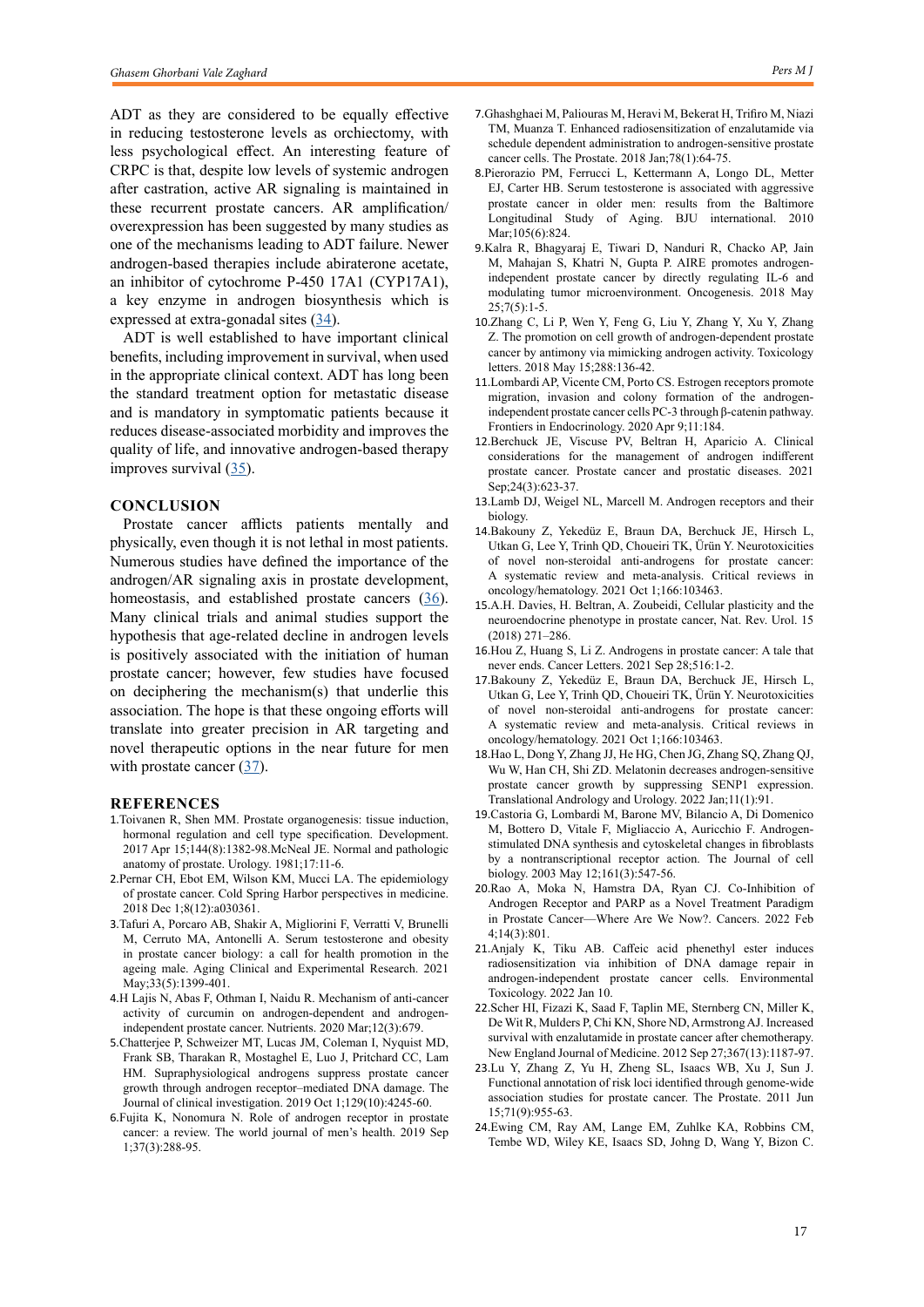ADT as they are considered to be equally effective in reducing testosterone levels as orchiectomy, with less psychological effect. An interesting feature of CRPC is that, despite low levels of systemic androgen after castration, active AR signaling is maintained in these recurrent prostate cancers. AR amplification/ overexpression has been suggested by many studies as one of the mechanisms leading to ADT failure. Newer androgen-based therapies include abiraterone acetate, an inhibitor of cytochrome P-450 17A1 (CYP17A1), a key enzyme in androgen biosynthesis which is expressed at extra-gonadal sites  $(34)$  $(34)$ .

ADT is well established to have important clinical benefits, including improvement in survival, when used in the appropriate clinical context. ADT has long been the standard treatment option for metastatic disease and is mandatory in symptomatic patients because it reduces disease-associated morbidity and improves the quality of life, and innovative androgen-based therapy improves survival ([35\)](Evans AJ. Treatment effects in prostate cancer. Modern Pathology. 2018 Jan;31(1):110-21.
).

## **CONCLUSION**

Prostate cancer afflicts patients mentally and physically, even though it is not lethal in most patients. Numerous studies have defined the importance of the androgen/AR signaling axis in prostate development, homeostasis, and established prostate cancers [\(36](Dai C, Heemers H, Sharifi N. Androgen signaling in prostate cancer. Cold Spring Harbor perspectives in medicine. 2017 Sep 1;7(9):a030452.
)). Many clinical trials and animal studies support the hypothesis that age-related decline in androgen levels is positively associated with the initiation of human prostate cancer; however, few studies have focused on deciphering the mechanism(s) that underlie this association. The hope is that these ongoing efforts will translate into greater precision in AR targeting and novel therapeutic options in the near future for men with prostate cancer  $(37)$  $(37)$ .

#### **REFERENCES**

- 1.Toivanen R, Shen MM. Prostate organogenesis: tissue induction, hormonal regulation and cell type specification. Development. 2017 Apr 15;144(8):1382-98.McNeal JE. Normal and pathologic anatomy of prostate. Urology. 1981;17:11-6.
- 2.Pernar CH, Ebot EM, Wilson KM, Mucci LA. The epidemiology of prostate cancer. Cold Spring Harbor perspectives in medicine. 2018 Dec 1;8(12):a030361.
- 3.Tafuri A, Porcaro AB, Shakir A, Migliorini F, Verratti V, Brunelli M, Cerruto MA, Antonelli A. Serum testosterone and obesity in prostate cancer biology: a call for health promotion in the ageing male. Aging Clinical and Experimental Research. 2021 May;33(5):1399-401.
- 4.H Lajis N, Abas F, Othman I, Naidu R. Mechanism of anti-cancer activity of curcumin on androgen-dependent and androgenindependent prostate cancer. Nutrients. 2020 Mar;12(3):679.
- 5.Chatterjee P, Schweizer MT, Lucas JM, Coleman I, Nyquist MD, Frank SB, Tharakan R, Mostaghel E, Luo J, Pritchard CC, Lam HM. Supraphysiological androgens suppress prostate cancer growth through androgen receptor–mediated DNA damage. The Journal of clinical investigation. 2019 Oct 1;129(10):4245-60.
- 6.Fujita K, Nonomura N. Role of androgen receptor in prostate cancer: a review. The world journal of men's health. 2019 Sep 1;37(3):288-95.
- 7.Ghashghaei M, Paliouras M, Heravi M, Bekerat H, Trifiro M, Niazi TM, Muanza T. Enhanced radiosensitization of enzalutamide via schedule dependent administration to androgen‐sensitive prostate cancer cells. The Prostate. 2018 Jan;78(1):64-75.
- 8.Pierorazio PM, Ferrucci L, Kettermann A, Longo DL, Metter EJ, Carter HB. Serum testosterone is associated with aggressive prostate cancer in older men: results from the Baltimore Longitudinal Study of Aging. BJU international. 2010 Mar:105(6):824.
- 9.Kalra R, Bhagyaraj E, Tiwari D, Nanduri R, Chacko AP, Jain M, Mahajan S, Khatri N, Gupta P. AIRE promotes androgenindependent prostate cancer by directly regulating IL-6 and modulating tumor microenvironment. Oncogenesis. 2018 May  $25;7(5):1-5.$
- 10.Zhang C, Li P, Wen Y, Feng G, Liu Y, Zhang Y, Xu Y, Zhang Z. The promotion on cell growth of androgen-dependent prostate cancer by antimony via mimicking androgen activity. Toxicology letters. 2018 May 15;288:136-42.
- 11.Lombardi AP, Vicente CM, Porto CS. Estrogen receptors promote migration, invasion and colony formation of the androgenindependent prostate cancer cells PC-3 through β-catenin pathway. Frontiers in Endocrinology. 2020 Apr 9;11:184.
- 12.Berchuck JE, Viscuse PV, Beltran H, Aparicio A. Clinical considerations for the management of androgen indifferent prostate cancer. Prostate cancer and prostatic diseases. 2021 Sep;24(3):623-37.
- 13.Lamb DJ, Weigel NL, Marcell M. Androgen receptors and their biology.
- 14.Bakouny Z, Yekedüz E, Braun DA, Berchuck JE, Hirsch L, Utkan G, Lee Y, Trinh QD, Choueiri TK, Ürün Y. Neurotoxicities of novel non-steroidal anti-androgens for prostate cancer: A systematic review and meta-analysis. Critical reviews in oncology/hematology. 2021 Oct 1;166:103463.
- 15.A.H. Davies, H. Beltran, A. Zoubeidi, Cellular plasticity and the neuroendocrine phenotype in prostate cancer, Nat. Rev. Urol. 15 (2018) 271–286.
- 16.Hou Z, Huang S, Li Z. Androgens in prostate cancer: A tale that never ends. Cancer Letters. 2021 Sep 28;516:1-2.
- 17.Bakouny Z, Yekedüz E, Braun DA, Berchuck JE, Hirsch L, Utkan G, Lee Y, Trinh QD, Choueiri TK, Ürün Y. Neurotoxicities of novel non-steroidal anti-androgens for prostate cancer: A systematic review and meta-analysis. Critical reviews in oncology/hematology. 2021 Oct 1;166:103463.
- 18.Hao L, Dong Y, Zhang JJ, He HG, Chen JG, Zhang SQ, Zhang QJ, Wu W, Han CH, Shi ZD. Melatonin decreases androgen-sensitive prostate cancer growth by suppressing SENP1 expression. Translational Andrology and Urology. 2022 Jan;11(1):91.
- 19.Castoria G, Lombardi M, Barone MV, Bilancio A, Di Domenico M, Bottero D, Vitale F, Migliaccio A, Auricchio F. Androgenstimulated DNA synthesis and cytoskeletal changes in fibroblasts by a nontranscriptional receptor action. The Journal of cell biology. 2003 May 12;161(3):547-56.
- 20.Rao A, Moka N, Hamstra DA, Ryan CJ. Co-Inhibition of Androgen Receptor and PARP as a Novel Treatment Paradigm in Prostate Cancer—Where Are We Now?. Cancers. 2022 Feb 4;14(3):801.
- 21.Anjaly K, Tiku AB. Caffeic acid phenethyl ester induces radiosensitization via inhibition of DNA damage repair in androgen‐independent prostate cancer cells. Environmental Toxicology. 2022 Jan 10.
- 22.Scher HI, Fizazi K, Saad F, Taplin ME, Sternberg CN, Miller K, De Wit R, Mulders P, Chi KN, Shore ND, Armstrong AJ. Increased survival with enzalutamide in prostate cancer after chemotherapy. New England Journal of Medicine. 2012 Sep 27;367(13):1187-97.
- 23.Lu Y, Zhang Z, Yu H, Zheng SL, Isaacs WB, Xu J, Sun J. Functional annotation of risk loci identified through genome‐wide association studies for prostate cancer. The Prostate. 2011 Jun 15;71(9):955-63.
- 24.Ewing CM, Ray AM, Lange EM, Zuhlke KA, Robbins CM, Tembe WD, Wiley KE, Isaacs SD, Johng D, Wang Y, Bizon C.